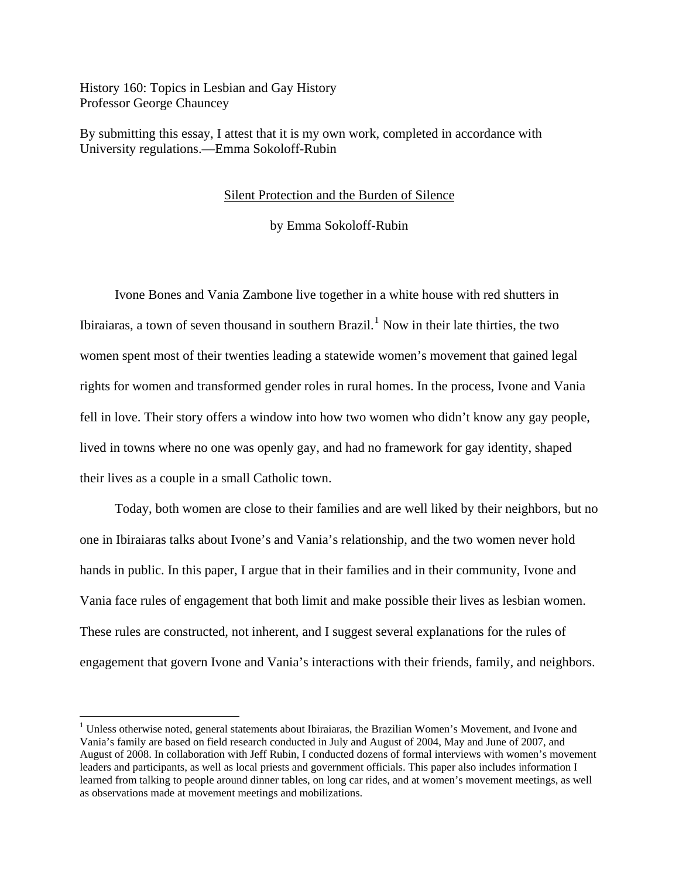History 160: Topics in Lesbian and Gay History Professor George Chauncey

1

By submitting this essay, I attest that it is my own work, completed in accordance with University regulations.—Emma Sokoloff-Rubin

### Silent Protection and the Burden of Silence

by Emma Sokoloff-Rubin

Ivone Bones and Vania Zambone live together in a white house with red shutters in Ibiraiaras, a town of seven thousand in southern Brazil.<sup>[1](#page-0-0)</sup> Now in their late thirties, the two women spent most of their twenties leading a statewide women's movement that gained legal rights for women and transformed gender roles in rural homes. In the process, Ivone and Vania fell in love. Their story offers a window into how two women who didn't know any gay people, lived in towns where no one was openly gay, and had no framework for gay identity, shaped their lives as a couple in a small Catholic town.

Today, both women are close to their families and are well liked by their neighbors, but no one in Ibiraiaras talks about Ivone's and Vania's relationship, and the two women never hold hands in public. In this paper, I argue that in their families and in their community, Ivone and Vania face rules of engagement that both limit and make possible their lives as lesbian women. These rules are constructed, not inherent, and I suggest several explanations for the rules of engagement that govern Ivone and Vania's interactions with their friends, family, and neighbors.

<span id="page-0-0"></span><sup>&</sup>lt;sup>1</sup> Unless otherwise noted, general statements about Ibiraiaras, the Brazilian Women's Movement, and Ivone and Vania's family are based on field research conducted in July and August of 2004, May and June of 2007, and August of 2008. In collaboration with Jeff Rubin, I conducted dozens of formal interviews with women's movement leaders and participants, as well as local priests and government officials. This paper also includes information I learned from talking to people around dinner tables, on long car rides, and at women's movement meetings, as well as observations made at movement meetings and mobilizations.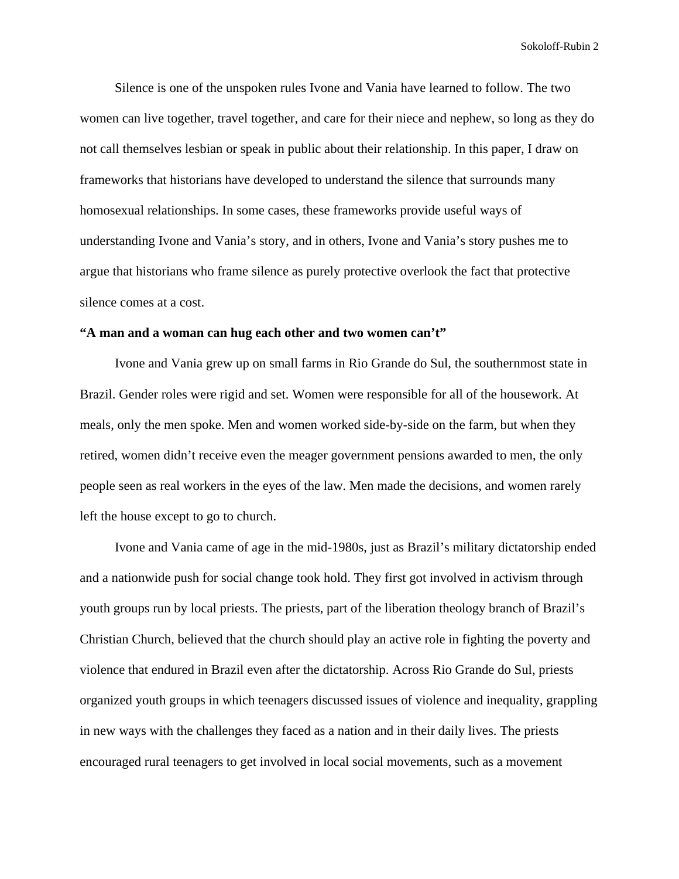Silence is one of the unspoken rules Ivone and Vania have learned to follow. The two women can live together, travel together, and care for their niece and nephew, so long as they do not call themselves lesbian or speak in public about their relationship. In this paper, I draw on frameworks that historians have developed to understand the silence that surrounds many homosexual relationships. In some cases, these frameworks provide useful ways of understanding Ivone and Vania's story, and in others, Ivone and Vania's story pushes me to argue that historians who frame silence as purely protective overlook the fact that protective silence comes at a cost.

## **"A man and a woman can hug each other and two women can't"**

Ivone and Vania grew up on small farms in Rio Grande do Sul, the southernmost state in Brazil. Gender roles were rigid and set. Women were responsible for all of the housework. At meals, only the men spoke. Men and women worked side-by-side on the farm, but when they retired, women didn't receive even the meager government pensions awarded to men, the only people seen as real workers in the eyes of the law. Men made the decisions, and women rarely left the house except to go to church.

Ivone and Vania came of age in the mid-1980s, just as Brazil's military dictatorship ended and a nationwide push for social change took hold. They first got involved in activism through youth groups run by local priests. The priests, part of the liberation theology branch of Brazil's Christian Church, believed that the church should play an active role in fighting the poverty and violence that endured in Brazil even after the dictatorship. Across Rio Grande do Sul, priests organized youth groups in which teenagers discussed issues of violence and inequality, grappling in new ways with the challenges they faced as a nation and in their daily lives. The priests encouraged rural teenagers to get involved in local social movements, such as a movement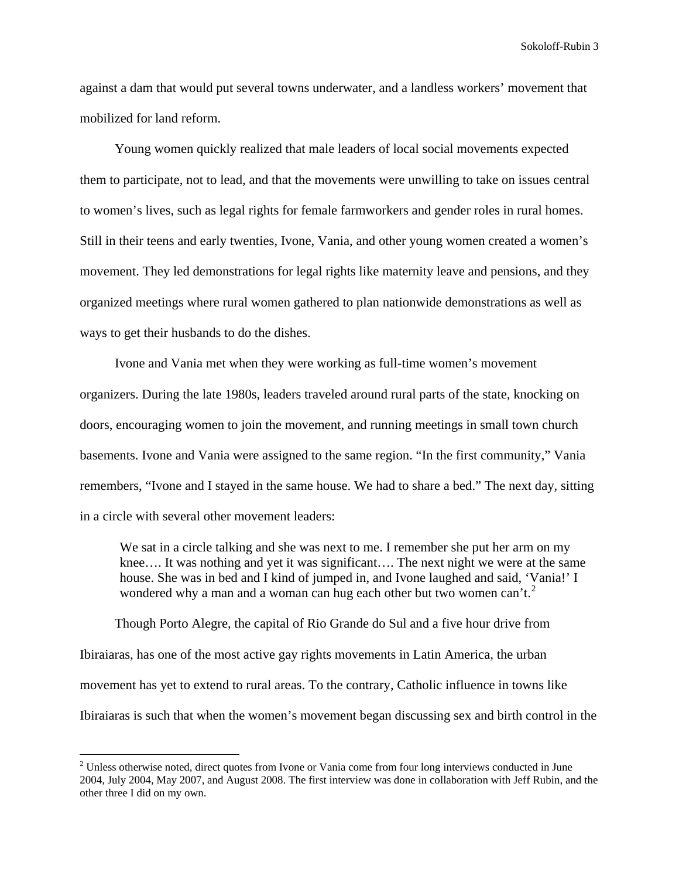against a dam that would put several towns underwater, and a landless workers' movement that mobilized for land reform.

Young women quickly realized that male leaders of local social movements expected them to participate, not to lead, and that the movements were unwilling to take on issues central to women's lives, such as legal rights for female farmworkers and gender roles in rural homes. Still in their teens and early twenties, Ivone, Vania, and other young women created a women's movement. They led demonstrations for legal rights like maternity leave and pensions, and they organized meetings where rural women gathered to plan nationwide demonstrations as well as ways to get their husbands to do the dishes.

Ivone and Vania met when they were working as full-time women's movement organizers. During the late 1980s, leaders traveled around rural parts of the state, knocking on doors, encouraging women to join the movement, and running meetings in small town church basements. Ivone and Vania were assigned to the same region. "In the first community," Vania remembers, "Ivone and I stayed in the same house. We had to share a bed." The next day, sitting in a circle with several other movement leaders:

We sat in a circle talking and she was next to me. I remember she put her arm on my knee…. It was nothing and yet it was significant…. The next night we were at the same house. She was in bed and I kind of jumped in, and Ivone laughed and said, 'Vania!' I wondered why a man and a woman can hug each other but two women can't.<sup>[2](#page-2-0)</sup>

Though Porto Alegre, the capital of Rio Grande do Sul and a five hour drive from Ibiraiaras, has one of the most active gay rights movements in Latin America, the urban movement has yet to extend to rural areas. To the contrary, Catholic influence in towns like Ibiraiaras is such that when the women's movement began discussing sex and birth control in the

<span id="page-2-0"></span> $2$  Unless otherwise noted, direct quotes from Ivone or Vania come from four long interviews conducted in June 2004, July 2004, May 2007, and August 2008. The first interview was done in collaboration with Jeff Rubin, and the other three I did on my own.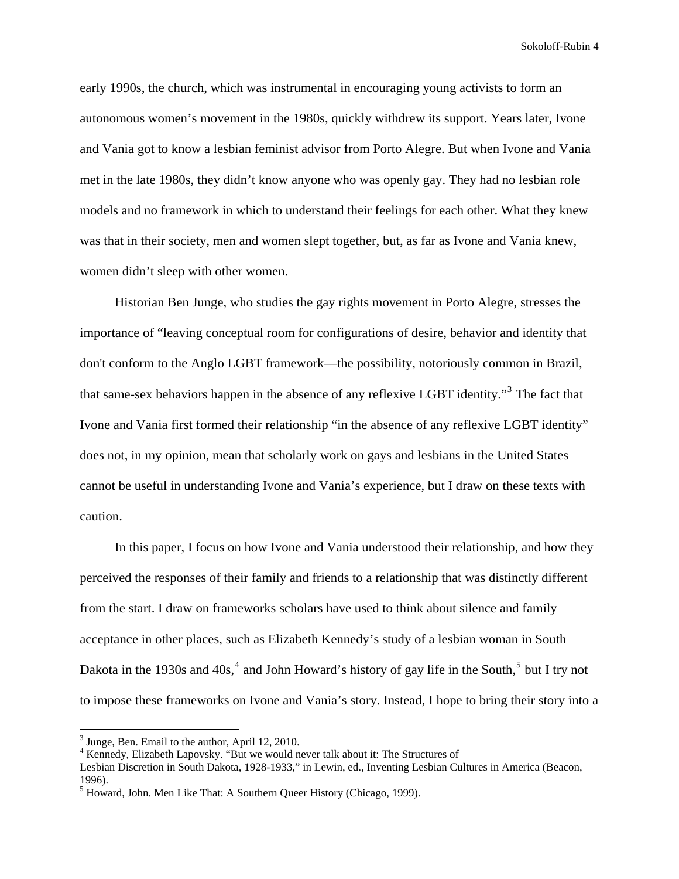early 1990s, the church, which was instrumental in encouraging young activists to form an autonomous women's movement in the 1980s, quickly withdrew its support. Years later, Ivone and Vania got to know a lesbian feminist advisor from Porto Alegre. But when Ivone and Vania met in the late 1980s, they didn't know anyone who was openly gay. They had no lesbian role models and no framework in which to understand their feelings for each other. What they knew was that in their society, men and women slept together, but, as far as Ivone and Vania knew, women didn't sleep with other women.

Historian Ben Junge, who studies the gay rights movement in Porto Alegre, stresses the importance of "leaving conceptual room for configurations of desire, behavior and identity that don't conform to the Anglo LGBT framework—the possibility, notoriously common in Brazil, that same-sex behaviors happen in the absence of any reflexive LGBT identity."<sup>[3](#page-3-0)</sup> The fact that Ivone and Vania first formed their relationship "in the absence of any reflexive LGBT identity" does not, in my opinion, mean that scholarly work on gays and lesbians in the United States cannot be useful in understanding Ivone and Vania's experience, but I draw on these texts with caution.

In this paper, I focus on how Ivone and Vania understood their relationship, and how they perceived the responses of their family and friends to a relationship that was distinctly different from the start. I draw on frameworks scholars have used to think about silence and family acceptance in other places, such as Elizabeth Kennedy's study of a lesbian woman in South Dakota in the 1930s and [4](#page-3-1)0s,<sup>4</sup> and John Howard's history of gay life in the South,<sup>[5](#page-3-2)</sup> but I try not to impose these frameworks on Ivone and Vania's story. Instead, I hope to bring their story into a

<span id="page-3-0"></span><sup>&</sup>lt;sup>3</sup> Junge, Ben. Email to the author, April 12, 2010.

<span id="page-3-1"></span><sup>4</sup> Kennedy, Elizabeth Lapovsky. "But we would never talk about it: The Structures of

Lesbian Discretion in South Dakota, 1928-1933," in Lewin, ed., Inventing Lesbian Cultures in America (Beacon, 1996).

<span id="page-3-2"></span> $<sup>5</sup>$  Howard, John. Men Like That: A Southern Queer History (Chicago, 1999).</sup>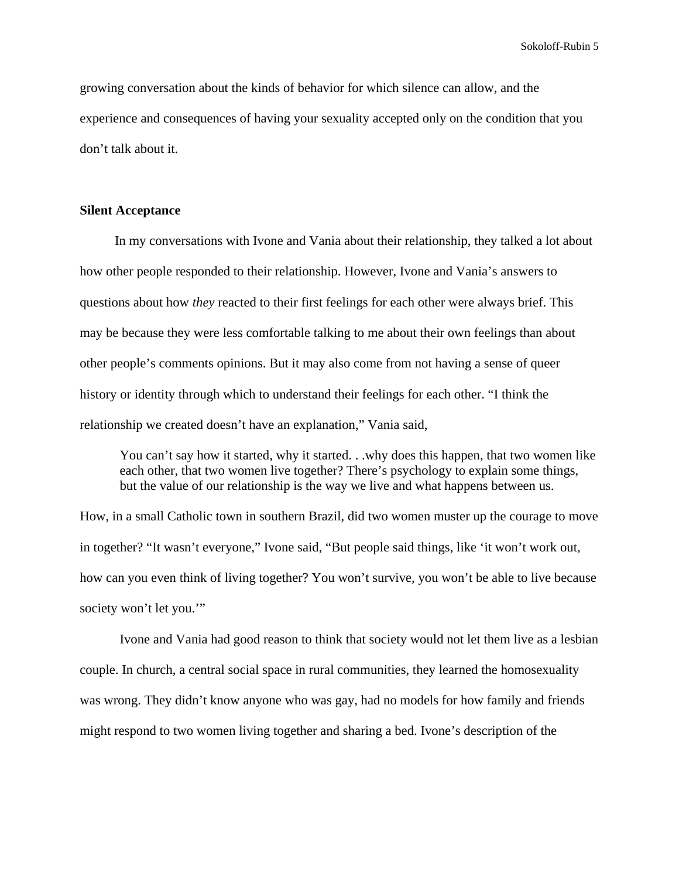growing conversation about the kinds of behavior for which silence can allow, and the experience and consequences of having your sexuality accepted only on the condition that you don't talk about it.

## **Silent Acceptance**

In my conversations with Ivone and Vania about their relationship, they talked a lot about how other people responded to their relationship. However, Ivone and Vania's answers to questions about how *they* reacted to their first feelings for each other were always brief. This may be because they were less comfortable talking to me about their own feelings than about other people's comments opinions. But it may also come from not having a sense of queer history or identity through which to understand their feelings for each other. "I think the relationship we created doesn't have an explanation," Vania said,

You can't say how it started, why it started. . .why does this happen, that two women like each other, that two women live together? There's psychology to explain some things, but the value of our relationship is the way we live and what happens between us.

How, in a small Catholic town in southern Brazil, did two women muster up the courage to move in together? "It wasn't everyone," Ivone said, "But people said things, like 'it won't work out, how can you even think of living together? You won't survive, you won't be able to live because society won't let you."

Ivone and Vania had good reason to think that society would not let them live as a lesbian couple. In church, a central social space in rural communities, they learned the homosexuality was wrong. They didn't know anyone who was gay, had no models for how family and friends might respond to two women living together and sharing a bed. Ivone's description of the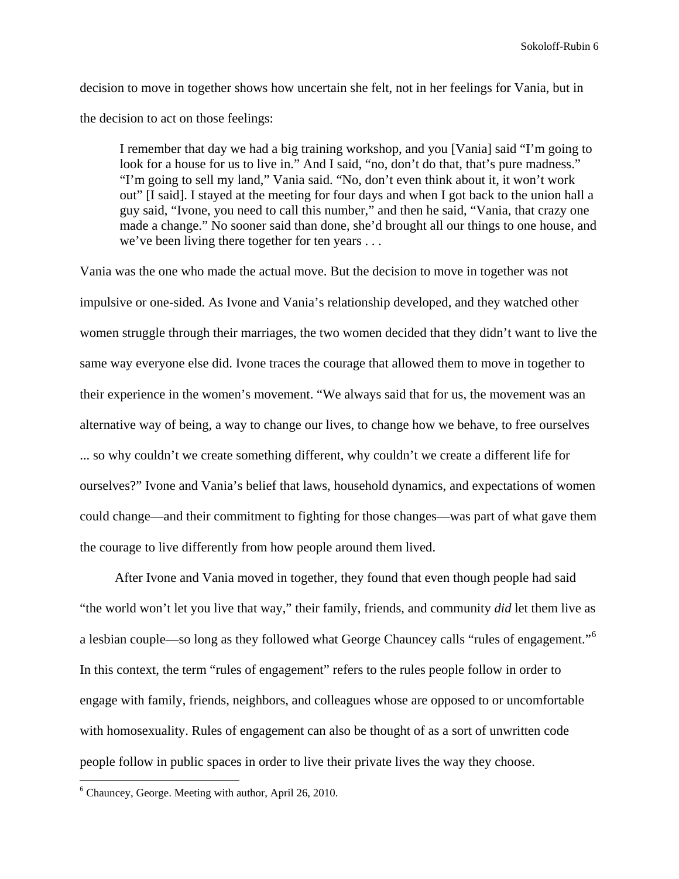decision to move in together shows how uncertain she felt, not in her feelings for Vania, but in the decision to act on those feelings:

I remember that day we had a big training workshop, and you [Vania] said "I'm going to look for a house for us to live in." And I said, "no, don't do that, that's pure madness." "I'm going to sell my land," Vania said. "No, don't even think about it, it won't work out" [I said]. I stayed at the meeting for four days and when I got back to the union hall a guy said, "Ivone, you need to call this number," and then he said, "Vania, that crazy one made a change." No sooner said than done, she'd brought all our things to one house, and we've been living there together for ten years . . .

Vania was the one who made the actual move. But the decision to move in together was not impulsive or one-sided. As Ivone and Vania's relationship developed, and they watched other women struggle through their marriages, the two women decided that they didn't want to live the same way everyone else did. Ivone traces the courage that allowed them to move in together to their experience in the women's movement. "We always said that for us, the movement was an alternative way of being, a way to change our lives, to change how we behave, to free ourselves ... so why couldn't we create something different, why couldn't we create a different life for ourselves?" Ivone and Vania's belief that laws, household dynamics, and expectations of women could change—and their commitment to fighting for those changes—was part of what gave them the courage to live differently from how people around them lived.

After Ivone and Vania moved in together, they found that even though people had said "the world won't let you live that way," their family, friends, and community *did* let them live as a lesbian couple—so long as they followed what George Chauncey calls "rules of engagement."[6](#page-5-0) In this context, the term "rules of engagement" refers to the rules people follow in order to engage with family, friends, neighbors, and colleagues whose are opposed to or uncomfortable with homosexuality. Rules of engagement can also be thought of as a sort of unwritten code people follow in public spaces in order to live their private lives the way they choose.

<span id="page-5-0"></span> 6 Chauncey, George. Meeting with author, April 26, 2010.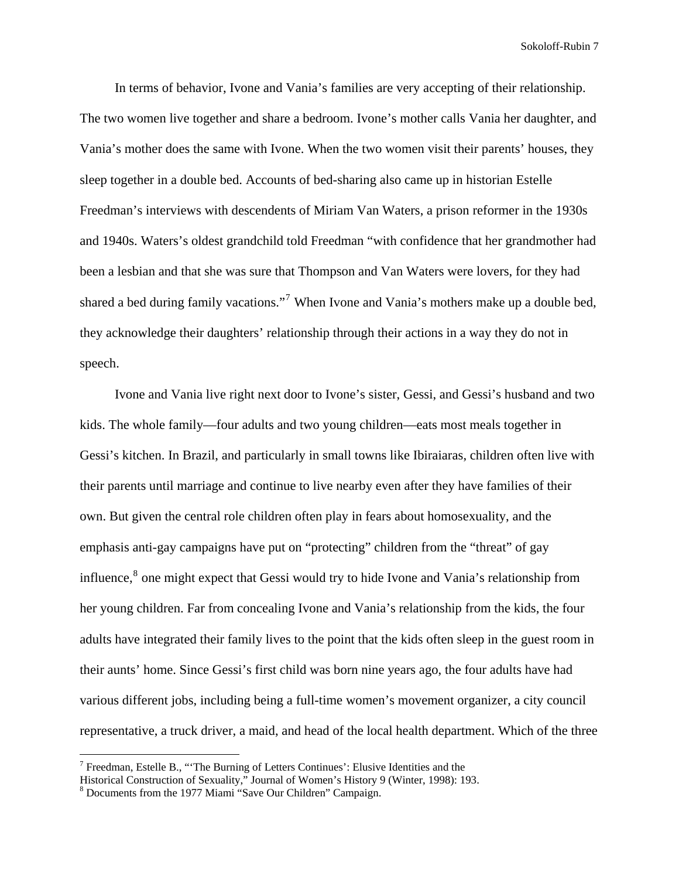In terms of behavior, Ivone and Vania's families are very accepting of their relationship. The two women live together and share a bedroom. Ivone's mother calls Vania her daughter, and Vania's mother does the same with Ivone. When the two women visit their parents' houses, they sleep together in a double bed. Accounts of bed-sharing also came up in historian Estelle Freedman's interviews with descendents of Miriam Van Waters, a prison reformer in the 1930s and 1940s. Waters's oldest grandchild told Freedman "with confidence that her grandmother had been a lesbian and that she was sure that Thompson and Van Waters were lovers, for they had shared a bed during family vacations."<sup>[7](#page-6-0)</sup> When Ivone and Vania's mothers make up a double bed, they acknowledge their daughters' relationship through their actions in a way they do not in speech.

Ivone and Vania live right next door to Ivone's sister, Gessi, and Gessi's husband and two kids. The whole family—four adults and two young children—eats most meals together in Gessi's kitchen. In Brazil, and particularly in small towns like Ibiraiaras, children often live with their parents until marriage and continue to live nearby even after they have families of their own. But given the central role children often play in fears about homosexuality, and the emphasis anti-gay campaigns have put on "protecting" children from the "threat" of gay influence,<sup>[8](#page-6-1)</sup> one might expect that Gessi would try to hide Ivone and Vania's relationship from her young children. Far from concealing Ivone and Vania's relationship from the kids, the four adults have integrated their family lives to the point that the kids often sleep in the guest room in their aunts' home. Since Gessi's first child was born nine years ago, the four adults have had various different jobs, including being a full-time women's movement organizer, a city council representative, a truck driver, a maid, and head of the local health department. Which of the three

<span id="page-6-0"></span><sup>&</sup>lt;sup>7</sup> Freedman, Estelle B., "The Burning of Letters Continues': Elusive Identities and the

Historical Construction of Sexuality," Journal of Women's History 9 (Winter, 1998): 193. 8

<span id="page-6-1"></span><sup>&</sup>lt;sup>8</sup> Documents from the 1977 Miami "Save Our Children" Campaign.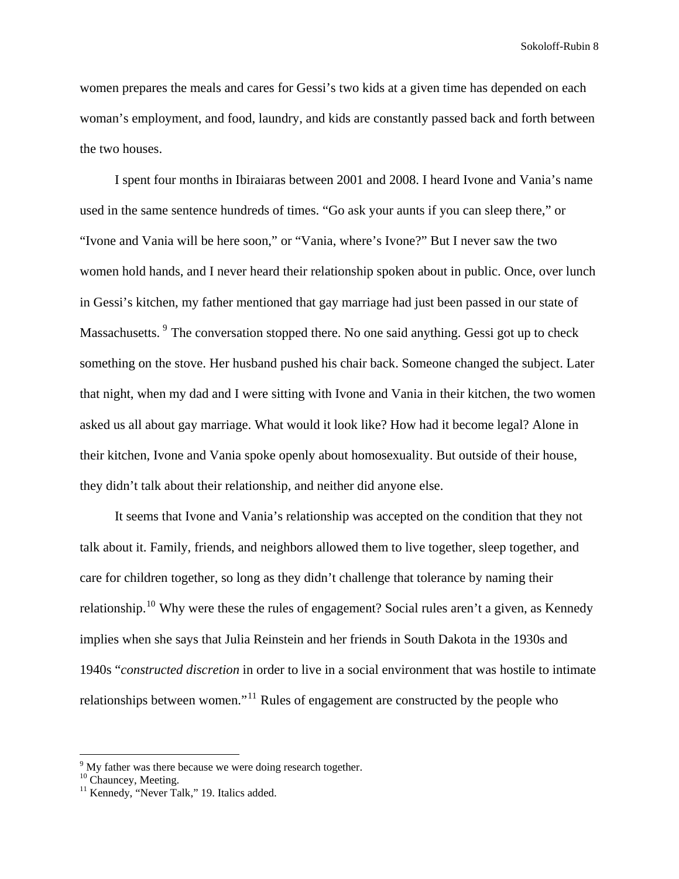women prepares the meals and cares for Gessi's two kids at a given time has depended on each woman's employment, and food, laundry, and kids are constantly passed back and forth between the two houses.

I spent four months in Ibiraiaras between 2001 and 2008. I heard Ivone and Vania's name used in the same sentence hundreds of times. "Go ask your aunts if you can sleep there," or "Ivone and Vania will be here soon," or "Vania, where's Ivone?" But I never saw the two women hold hands, and I never heard their relationship spoken about in public. Once, over lunch in Gessi's kitchen, my father mentioned that gay marriage had just been passed in our state of Massachusetts.<sup>[9](#page-7-0)</sup> The conversation stopped there. No one said anything. Gessi got up to check something on the stove. Her husband pushed his chair back. Someone changed the subject. Later that night, when my dad and I were sitting with Ivone and Vania in their kitchen, the two women asked us all about gay marriage. What would it look like? How had it become legal? Alone in their kitchen, Ivone and Vania spoke openly about homosexuality. But outside of their house, they didn't talk about their relationship, and neither did anyone else.

It seems that Ivone and Vania's relationship was accepted on the condition that they not talk about it. Family, friends, and neighbors allowed them to live together, sleep together, and care for children together, so long as they didn't challenge that tolerance by naming their relationship.<sup>[10](#page-7-1)</sup> Why were these the rules of engagement? Social rules aren't a given, as Kennedy implies when she says that Julia Reinstein and her friends in South Dakota in the 1930s and 1940s "*constructed discretion* in order to live in a social environment that was hostile to intimate relationships between women."[11](#page-7-2) Rules of engagement are constructed by the people who

 $9^9$  My father was there because we were doing research together.

<span id="page-7-1"></span><span id="page-7-0"></span><sup>&</sup>lt;sup>10</sup> Chauncey, Meeting.

<span id="page-7-2"></span><sup>&</sup>lt;sup>11</sup> Kennedy, "Never Talk," 19. Italics added.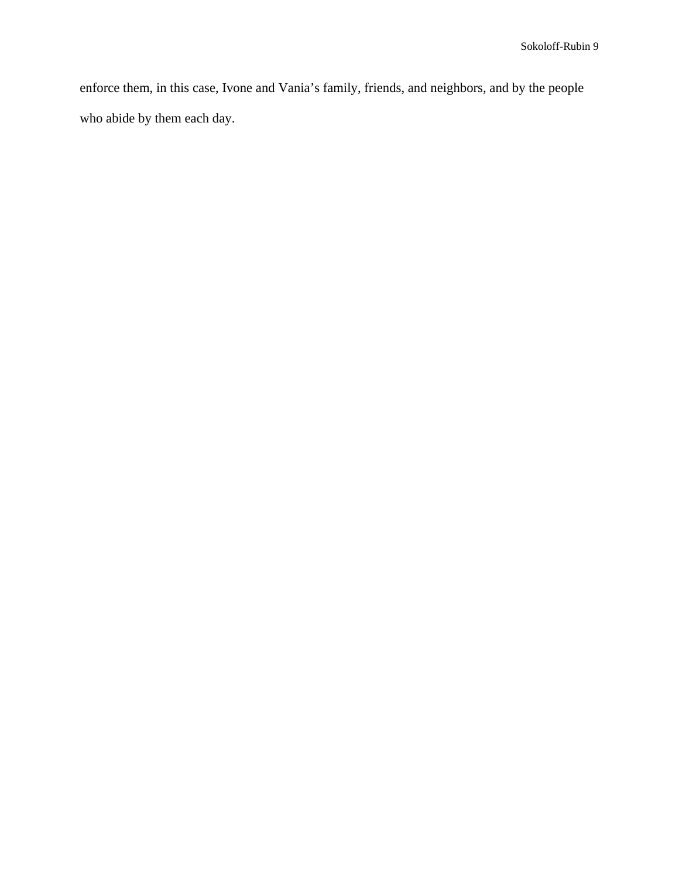enforce them, in this case, Ivone and Vania's family, friends, and neighbors, and by the people who abide by them each day.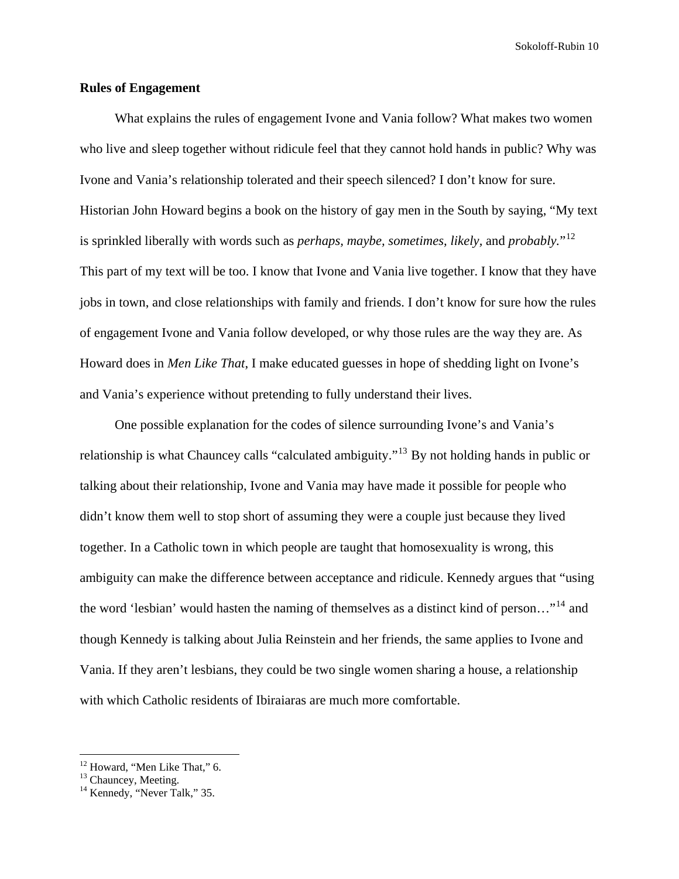## **Rules of Engagement**

What explains the rules of engagement Ivone and Vania follow? What makes two women who live and sleep together without ridicule feel that they cannot hold hands in public? Why was Ivone and Vania's relationship tolerated and their speech silenced? I don't know for sure. Historian John Howard begins a book on the history of gay men in the South by saying, "My text is sprinkled liberally with words such as *perhaps, maybe, sometimes, likely,* and *probably.*"[12](#page-9-0) This part of my text will be too. I know that Ivone and Vania live together. I know that they have jobs in town, and close relationships with family and friends. I don't know for sure how the rules of engagement Ivone and Vania follow developed, or why those rules are the way they are. As Howard does in *Men Like That*, I make educated guesses in hope of shedding light on Ivone's and Vania's experience without pretending to fully understand their lives.

One possible explanation for the codes of silence surrounding Ivone's and Vania's relationship is what Chauncey calls "calculated ambiguity."[13](#page-9-1) By not holding hands in public or talking about their relationship, Ivone and Vania may have made it possible for people who didn't know them well to stop short of assuming they were a couple just because they lived together. In a Catholic town in which people are taught that homosexuality is wrong, this ambiguity can make the difference between acceptance and ridicule. Kennedy argues that "using the word 'lesbian' would hasten the naming of themselves as a distinct kind of person..."<sup>[14](#page-9-2)</sup> and though Kennedy is talking about Julia Reinstein and her friends, the same applies to Ivone and Vania. If they aren't lesbians, they could be two single women sharing a house, a relationship with which Catholic residents of Ibiraiaras are much more comfortable.

1

<span id="page-9-0"></span><sup>&</sup>lt;sup>12</sup> Howard, "Men Like That," 6.

<span id="page-9-1"></span><sup>&</sup>lt;sup>13</sup> Chauncey, Meeting.

<span id="page-9-2"></span><sup>&</sup>lt;sup>14</sup> Kennedy, "Never Talk," 35.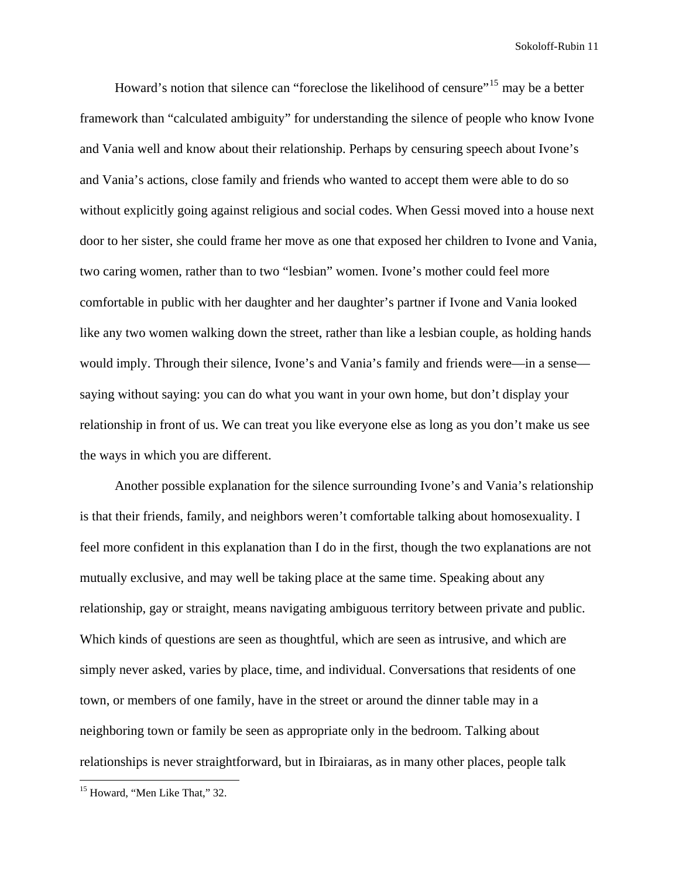Howard's notion that silence can "foreclose the likelihood of censure"<sup>[15](#page-10-0)</sup> may be a better framework than "calculated ambiguity" for understanding the silence of people who know Ivone and Vania well and know about their relationship. Perhaps by censuring speech about Ivone's and Vania's actions, close family and friends who wanted to accept them were able to do so without explicitly going against religious and social codes. When Gessi moved into a house next door to her sister, she could frame her move as one that exposed her children to Ivone and Vania, two caring women, rather than to two "lesbian" women. Ivone's mother could feel more comfortable in public with her daughter and her daughter's partner if Ivone and Vania looked like any two women walking down the street, rather than like a lesbian couple, as holding hands would imply. Through their silence, Ivone's and Vania's family and friends were—in a sense saying without saying: you can do what you want in your own home, but don't display your relationship in front of us. We can treat you like everyone else as long as you don't make us see the ways in which you are different.

Another possible explanation for the silence surrounding Ivone's and Vania's relationship is that their friends, family, and neighbors weren't comfortable talking about homosexuality. I feel more confident in this explanation than I do in the first, though the two explanations are not mutually exclusive, and may well be taking place at the same time. Speaking about any relationship, gay or straight, means navigating ambiguous territory between private and public. Which kinds of questions are seen as thoughtful, which are seen as intrusive, and which are simply never asked, varies by place, time, and individual. Conversations that residents of one town, or members of one family, have in the street or around the dinner table may in a neighboring town or family be seen as appropriate only in the bedroom. Talking about relationships is never straightforward, but in Ibiraiaras, as in many other places, people talk

<span id="page-10-0"></span><sup>&</sup>lt;sup>15</sup> Howard, "Men Like That," 32.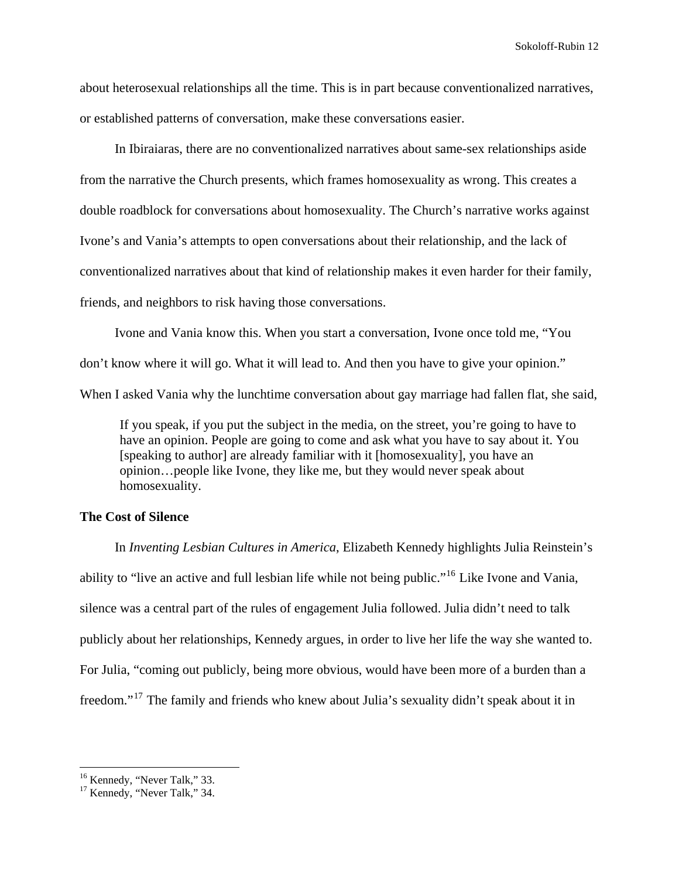about heterosexual relationships all the time. This is in part because conventionalized narratives, or established patterns of conversation, make these conversations easier.

In Ibiraiaras, there are no conventionalized narratives about same-sex relationships aside from the narrative the Church presents, which frames homosexuality as wrong. This creates a double roadblock for conversations about homosexuality. The Church's narrative works against Ivone's and Vania's attempts to open conversations about their relationship, and the lack of conventionalized narratives about that kind of relationship makes it even harder for their family, friends, and neighbors to risk having those conversations.

Ivone and Vania know this. When you start a conversation, Ivone once told me, "You don't know where it will go. What it will lead to. And then you have to give your opinion." When I asked Vania why the lunchtime conversation about gay marriage had fallen flat, she said,

If you speak, if you put the subject in the media, on the street, you're going to have to have an opinion. People are going to come and ask what you have to say about it. You [speaking to author] are already familiar with it [homosexuality], you have an opinion…people like Ivone, they like me, but they would never speak about homosexuality.

#### **The Cost of Silence**

In *Inventing Lesbian Cultures in America*, Elizabeth Kennedy highlights Julia Reinstein's ability to "live an active and full lesbian life while not being public."[16](#page-11-0) Like Ivone and Vania, silence was a central part of the rules of engagement Julia followed. Julia didn't need to talk publicly about her relationships, Kennedy argues, in order to live her life the way she wanted to. For Julia, "coming out publicly, being more obvious, would have been more of a burden than a freedom."[17](#page-11-1) The family and friends who knew about Julia's sexuality didn't speak about it in

<span id="page-11-0"></span><sup>&</sup>lt;sup>16</sup> Kennedy, "Never Talk," 33.

<span id="page-11-1"></span><sup>&</sup>lt;sup>17</sup> Kennedy, "Never Talk," 34.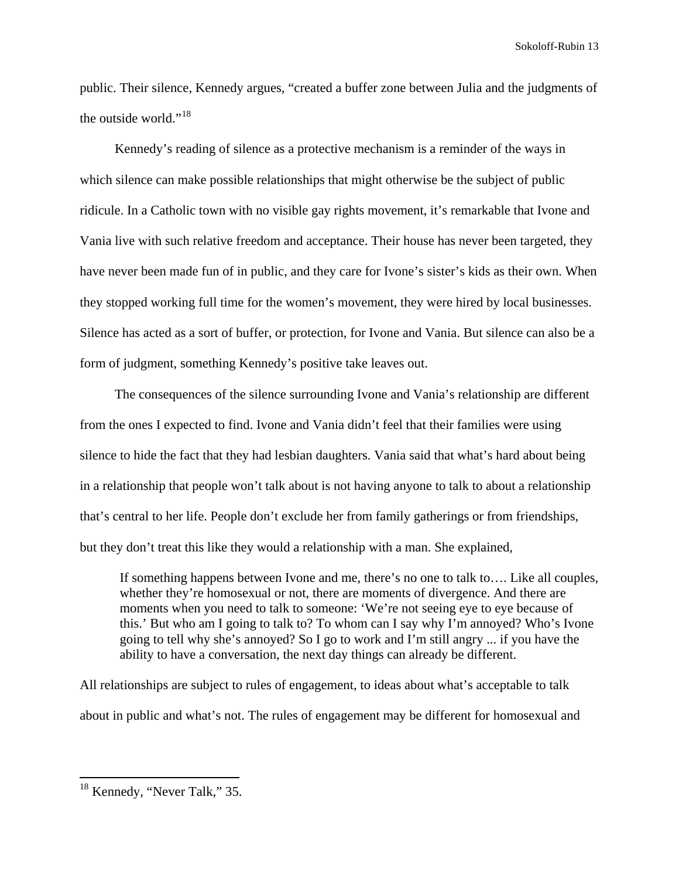public. Their silence, Kennedy argues, "created a buffer zone between Julia and the judgments of the outside world."<sup>[18](#page-12-0)</sup>

Kennedy's reading of silence as a protective mechanism is a reminder of the ways in which silence can make possible relationships that might otherwise be the subject of public ridicule. In a Catholic town with no visible gay rights movement, it's remarkable that Ivone and Vania live with such relative freedom and acceptance. Their house has never been targeted, they have never been made fun of in public, and they care for Ivone's sister's kids as their own. When they stopped working full time for the women's movement, they were hired by local businesses. Silence has acted as a sort of buffer, or protection, for Ivone and Vania. But silence can also be a form of judgment, something Kennedy's positive take leaves out.

The consequences of the silence surrounding Ivone and Vania's relationship are different from the ones I expected to find. Ivone and Vania didn't feel that their families were using silence to hide the fact that they had lesbian daughters. Vania said that what's hard about being in a relationship that people won't talk about is not having anyone to talk to about a relationship that's central to her life. People don't exclude her from family gatherings or from friendships, but they don't treat this like they would a relationship with a man. She explained,

If something happens between Ivone and me, there's no one to talk to…. Like all couples, whether they're homosexual or not, there are moments of divergence. And there are moments when you need to talk to someone: 'We're not seeing eye to eye because of this.' But who am I going to talk to? To whom can I say why I'm annoyed? Who's Ivone going to tell why she's annoyed? So I go to work and I'm still angry ... if you have the ability to have a conversation, the next day things can already be different.

All relationships are subject to rules of engagement, to ideas about what's acceptable to talk about in public and what's not. The rules of engagement may be different for homosexual and

<u>.</u>

<span id="page-12-0"></span> $18$  Kennedy, "Never Talk," 35.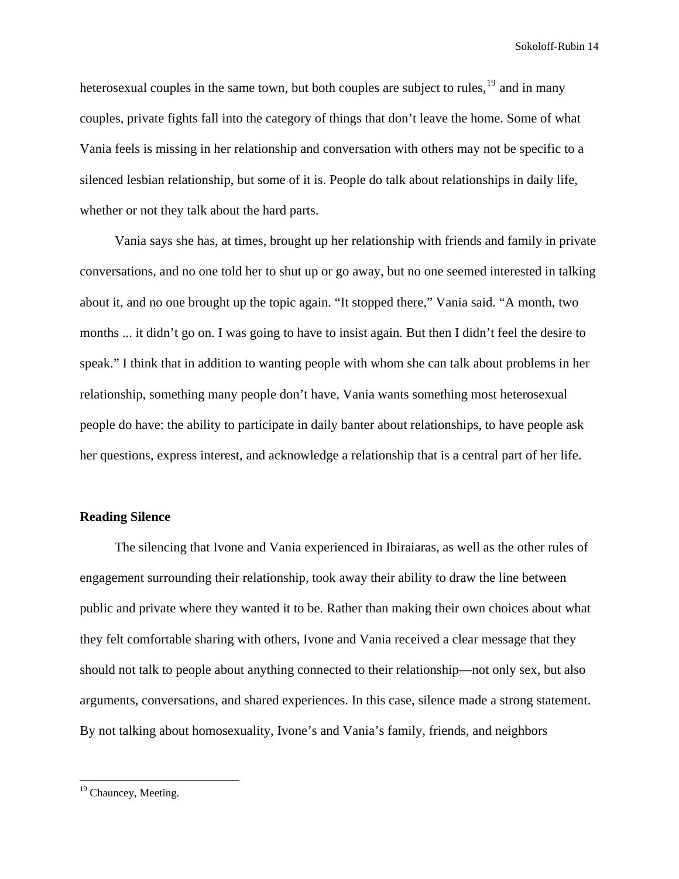heterosexual couples in the same town, but both couples are subject to rules,  $19$  and in many couples, private fights fall into the category of things that don't leave the home. Some of what Vania feels is missing in her relationship and conversation with others may not be specific to a silenced lesbian relationship, but some of it is. People do talk about relationships in daily life, whether or not they talk about the hard parts.

Vania says she has, at times, brought up her relationship with friends and family in private conversations, and no one told her to shut up or go away, but no one seemed interested in talking about it, and no one brought up the topic again. "It stopped there," Vania said. "A month, two months ... it didn't go on. I was going to have to insist again. But then I didn't feel the desire to speak." I think that in addition to wanting people with whom she can talk about problems in her relationship, something many people don't have, Vania wants something most heterosexual people do have: the ability to participate in daily banter about relationships, to have people ask her questions, express interest, and acknowledge a relationship that is a central part of her life.

#### **Reading Silence**

The silencing that Ivone and Vania experienced in Ibiraiaras, as well as the other rules of engagement surrounding their relationship, took away their ability to draw the line between public and private where they wanted it to be. Rather than making their own choices about what they felt comfortable sharing with others, Ivone and Vania received a clear message that they should not talk to people about anything connected to their relationship—not only sex, but also arguments, conversations, and shared experiences. In this case, silence made a strong statement. By not talking about homosexuality, Ivone's and Vania's family, friends, and neighbors

<span id="page-13-0"></span><sup>&</sup>lt;sup>19</sup> Chauncey, Meeting.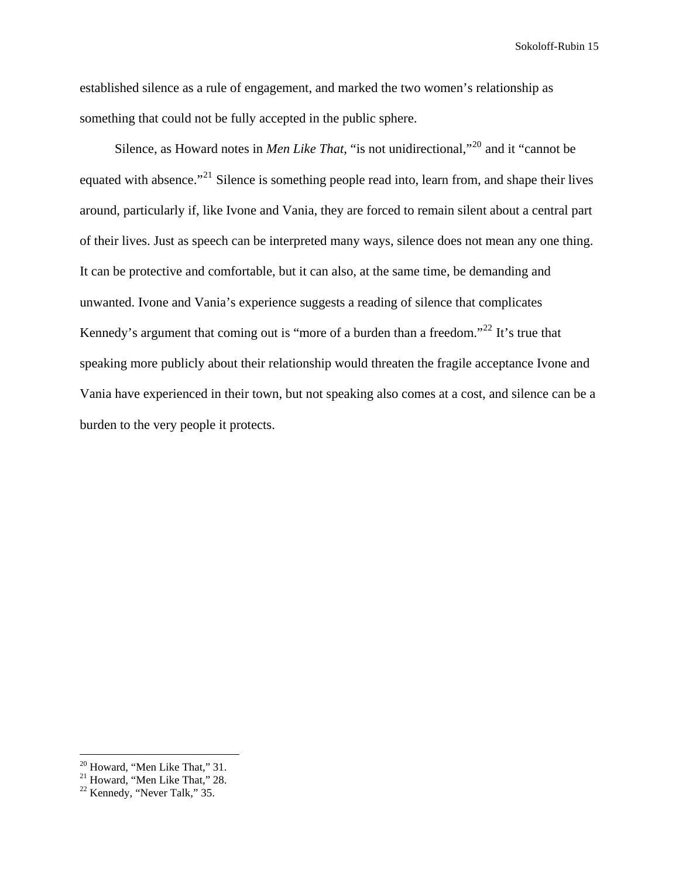established silence as a rule of engagement, and marked the two women's relationship as something that could not be fully accepted in the public sphere.

Silence, as Howard notes in *Men Like That*, "is not unidirectional,"[20](#page-14-0) and it "cannot be equated with absence."<sup>[21](#page-14-1)</sup> Silence is something people read into, learn from, and shape their lives around, particularly if, like Ivone and Vania, they are forced to remain silent about a central part of their lives. Just as speech can be interpreted many ways, silence does not mean any one thing. It can be protective and comfortable, but it can also, at the same time, be demanding and unwanted. Ivone and Vania's experience suggests a reading of silence that complicates Kennedy's argument that coming out is "more of a burden than a freedom."<sup>[22](#page-14-2)</sup> It's true that speaking more publicly about their relationship would threaten the fragile acceptance Ivone and Vania have experienced in their town, but not speaking also comes at a cost, and silence can be a burden to the very people it protects.

<span id="page-14-0"></span><sup>&</sup>lt;sup>20</sup> Howard, "Men Like That," 31.

<span id="page-14-1"></span> $21$  Howard, "Men Like That," 28.

<span id="page-14-2"></span> $22$  Kennedy, "Never Talk," 35.